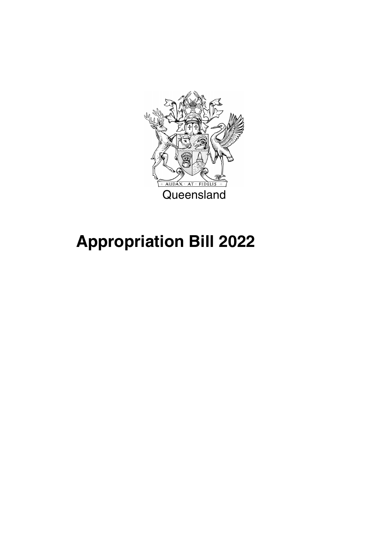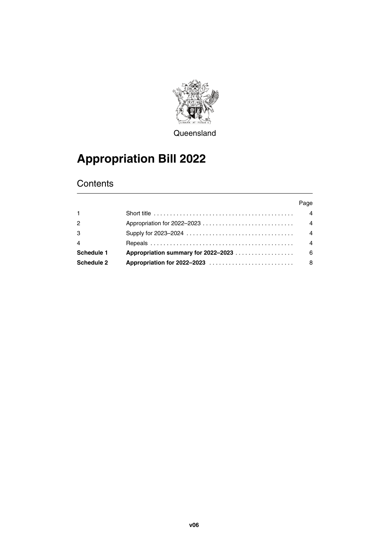

**Queensland** 

## **Appropriation Bill 2022**

### **Contents**

|                |                                                                                                          | Page           |
|----------------|----------------------------------------------------------------------------------------------------------|----------------|
| $\mathbf{1}$   | Short title $\ldots \ldots \ldots \ldots \ldots \ldots \ldots \ldots \ldots \ldots \ldots \ldots \ldots$ | 4              |
| 2              |                                                                                                          | $\overline{4}$ |
| 3              |                                                                                                          | $\overline{4}$ |
| $\overline{4}$ |                                                                                                          | $\overline{4}$ |
| Schedule 1     |                                                                                                          | - 6            |
| Schedule 2     |                                                                                                          | 8              |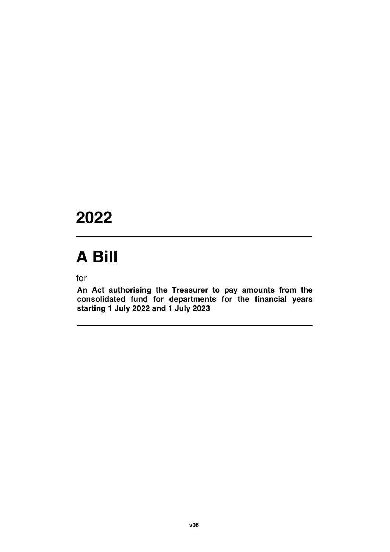## **2022**

# **A Bill**

for

**An Act authorising the Treasurer to pay amounts from the consolidated fund for departments for the financial years starting 1 July 2022 and 1 July 2023**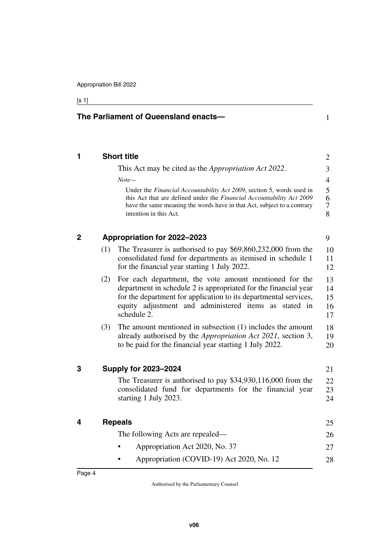**The Parliament of Queensland enacts—**

#### [s 1]

<span id="page-5-7"></span><span id="page-5-6"></span><span id="page-5-5"></span><span id="page-5-4"></span><span id="page-5-3"></span><span id="page-5-2"></span><span id="page-5-1"></span><span id="page-5-0"></span>

|     | <b>Short title</b>                                                                                                                                                                                                                                                    |
|-----|-----------------------------------------------------------------------------------------------------------------------------------------------------------------------------------------------------------------------------------------------------------------------|
|     | This Act may be cited as the <i>Appropriation Act 2022</i> .                                                                                                                                                                                                          |
|     | $Note-$                                                                                                                                                                                                                                                               |
|     | Under the Financial Accountability Act 2009, section 5, words used in<br>this Act that are defined under the Financial Accountability Act 2009<br>have the same meaning the words have in that Act, subject to a contrary<br>intention in this Act.                   |
|     | Appropriation for 2022-2023                                                                                                                                                                                                                                           |
| (1) | The Treasurer is authorised to pay $$69,860,232,000$ from the<br>consolidated fund for departments as itemised in schedule 1<br>for the financial year starting 1 July 2022.                                                                                          |
| (2) | For each department, the vote amount mentioned for the<br>department in schedule 2 is appropriated for the financial year<br>for the department for application to its departmental services,<br>equity adjustment and administered items as stated in<br>schedule 2. |
| (3) | The amount mentioned in subsection $(1)$ includes the amount<br>already authorised by the Appropriation Act 2021, section 3,<br>to be paid for the financial year starting 1 July 2022.                                                                               |
|     | <b>Supply for 2023-2024</b>                                                                                                                                                                                                                                           |
|     | The Treasurer is authorised to pay $$34,930,116,000$ from the<br>consolidated fund for departments for the financial year<br>starting 1 July 2023.                                                                                                                    |
|     | <b>Repeals</b>                                                                                                                                                                                                                                                        |
|     | The following Acts are repealed—                                                                                                                                                                                                                                      |
|     |                                                                                                                                                                                                                                                                       |
|     | Appropriation Act 2020, No. 37                                                                                                                                                                                                                                        |

1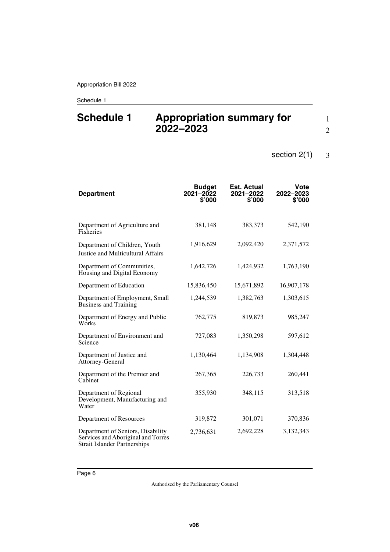### <span id="page-7-1"></span><span id="page-7-0"></span>**Schedule 1 Appropriation summary for 2022–2023**

1 2

#### section 2(1) 3

| <b>Department</b>                                                                                              | <b>Budget</b><br>2021-2022<br>\$'000 | <b>Est. Actual</b><br>2021-2022<br>\$'000 | <b>Vote</b><br>2022-2023<br>\$'000 |
|----------------------------------------------------------------------------------------------------------------|--------------------------------------|-------------------------------------------|------------------------------------|
| Department of Agriculture and<br><b>Fisheries</b>                                                              | 381,148                              | 383,373                                   | 542,190                            |
| Department of Children, Youth<br>Justice and Multicultural Affairs                                             | 1,916,629                            | 2,092,420                                 | 2,371,572                          |
| Department of Communities,<br>Housing and Digital Economy                                                      | 1,642,726                            | 1,424,932                                 | 1,763,190                          |
| Department of Education                                                                                        | 15,836,450                           | 15,671,892                                | 16,907,178                         |
| Department of Employment, Small<br><b>Business and Training</b>                                                | 1,244,539                            | 1,382,763                                 | 1,303,615                          |
| Department of Energy and Public<br>Works                                                                       | 762,775                              | 819,873                                   | 985,247                            |
| Department of Environment and<br>Science                                                                       | 727,083                              | 1,350,298                                 | 597,612                            |
| Department of Justice and<br>Attorney-General                                                                  | 1,130,464                            | 1,134,908                                 | 1,304,448                          |
| Department of the Premier and<br>Cabinet                                                                       | 267,365                              | 226,733                                   | 260,441                            |
| Department of Regional<br>Development, Manufacturing and<br>Water                                              | 355,930                              | 348,115                                   | 313,518                            |
| Department of Resources                                                                                        | 319,872                              | 301,071                                   | 370,836                            |
| Department of Seniors, Disability<br>Services and Aboriginal and Torres<br><b>Strait Islander Partnerships</b> | 2,736,631                            | 2,692,228                                 | 3,132,343                          |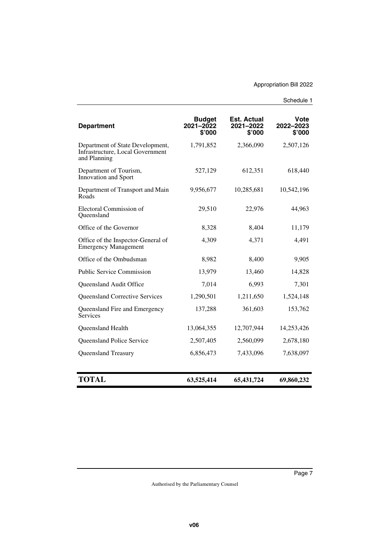| <b>Department</b>                                                                    | <b>Budget</b><br>$2021 - 2022$<br>\$'000 | <b>Est. Actual</b><br>2021-2022<br>\$'000 | <b>Vote</b><br>2022-2023<br>\$'000 |
|--------------------------------------------------------------------------------------|------------------------------------------|-------------------------------------------|------------------------------------|
| Department of State Development,<br>Infrastructure, Local Government<br>and Planning | 1,791,852                                | 2,366,090                                 | 2,507,126                          |
| Department of Tourism,<br>Innovation and Sport                                       | 527,129                                  | 612,351                                   | 618,440                            |
| Department of Transport and Main<br>Roads                                            | 9,956,677                                | 10,285,681                                | 10,542,196                         |
| Electoral Commission of<br>Queensland                                                | 29,510                                   | 22,976                                    | 44,963                             |
| Office of the Governor                                                               | 8,328                                    | 8,404                                     | 11,179                             |
| Office of the Inspector-General of<br><b>Emergency Management</b>                    | 4,309                                    | 4,371                                     | 4,491                              |
| Office of the Ombudsman                                                              | 8,982                                    | 8,400                                     | 9,905                              |
| <b>Public Service Commission</b>                                                     | 13,979                                   | 13,460                                    | 14,828                             |
| Queensland Audit Office                                                              | 7,014                                    | 6.993                                     | 7,301                              |
| <b>Queensland Corrective Services</b>                                                | 1,290,501                                | 1,211,650                                 | 1,524,148                          |
| Queensland Fire and Emergency<br><b>Services</b>                                     | 137,288                                  | 361,603                                   | 153,762                            |
| Queensland Health                                                                    | 13,064,355                               | 12,707,944                                | 14,253,426                         |
| <b>Queensland Police Service</b>                                                     | 2,507,405                                | 2,560,099                                 | 2,678,180                          |
| Queensland Treasury                                                                  | 6,856,473                                | 7,433,096                                 | 7,638,097                          |
| <b>TOTAL</b>                                                                         | 63,525,414                               | 65,431,724                                | 69,860,232                         |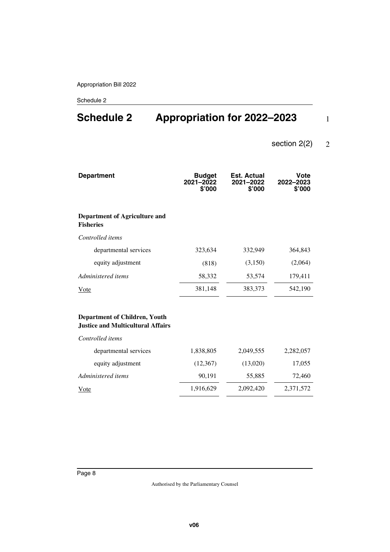### <span id="page-9-1"></span><span id="page-9-0"></span>**Schedule 2 Appropriation for 2022–2023**

#### section 2(2) 2

1

| <b>Department</b>                                                                | <b>Budget</b><br>$2021 - 2022$<br>\$'000 | <b>Est. Actual</b><br>2021-2022<br>\$'000 | Vote<br>2022-2023<br>\$'000 |
|----------------------------------------------------------------------------------|------------------------------------------|-------------------------------------------|-----------------------------|
| Department of Agriculture and<br><b>Fisheries</b>                                |                                          |                                           |                             |
| Controlled items                                                                 |                                          |                                           |                             |
| departmental services                                                            | 323,634                                  | 332,949                                   | 364,843                     |
| equity adjustment                                                                | (818)                                    | (3,150)                                   | (2,064)                     |
| Administered items                                                               | 58,332                                   | 53,574                                    | 179,411                     |
| <b>V</b> ote                                                                     | 381,148                                  | 383,373                                   | 542,190                     |
| <b>Department of Children, Youth</b><br><b>Justice and Multicultural Affairs</b> |                                          |                                           |                             |
| Controlled items                                                                 |                                          |                                           |                             |
| departmental services                                                            | 1,838,805                                | 2,049,555                                 | 2,282,057                   |
| equity adjustment                                                                | (12, 367)                                | (13,020)                                  | 17,055                      |
| Administered items                                                               | 90,191                                   | 55,885                                    | 72,460                      |
| Vote                                                                             | 1,916,629                                | 2,092,420                                 | 2,371,572                   |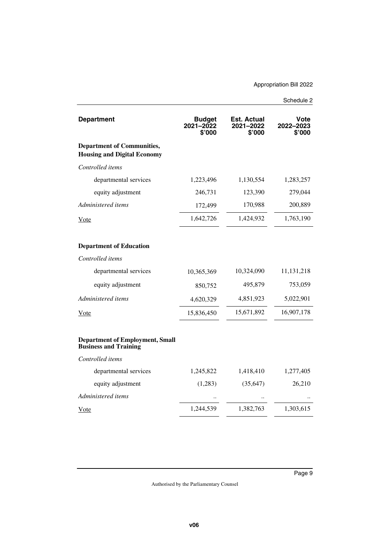| <b>Department</b>                                                       | <b>Budget</b><br>2021-2022<br>\$'000 | <b>Est. Actual</b><br>2021-2022<br>\$'000 | Vote<br>2022-2023<br>\$'000 |
|-------------------------------------------------------------------------|--------------------------------------|-------------------------------------------|-----------------------------|
| <b>Department of Communities,</b><br><b>Housing and Digital Economy</b> |                                      |                                           |                             |
| Controlled items                                                        |                                      |                                           |                             |
| departmental services                                                   | 1,223,496                            | 1,130,554                                 | 1,283,257                   |
| equity adjustment                                                       | 246,731                              | 123,390                                   | 279,044                     |
| Administered items                                                      | 172,499                              | 170,988                                   | 200,889                     |
| Vote                                                                    | 1,642,726                            | 1,424,932                                 | 1,763,190                   |
| <b>Department of Education</b>                                          |                                      |                                           |                             |
| Controlled items                                                        |                                      |                                           |                             |
| departmental services                                                   | 10,365,369                           | 10,324,090                                | 11,131,218                  |
| equity adjustment                                                       | 850,752                              | 495,879                                   | 753,059                     |
| Administered items                                                      | 4,620,329                            | 4,851,923                                 | 5,022,901                   |
| <u>Vote</u>                                                             | 15,836,450                           | 15,671,892                                | 16,907,178                  |
| <b>Department of Employment, Small</b><br><b>Business and Training</b>  |                                      |                                           |                             |
| Controlled items                                                        |                                      |                                           |                             |
| departmental services                                                   | 1,245,822                            | 1,418,410                                 | 1,277,405                   |
| equity adjustment                                                       | (1,283)                              | (35, 647)                                 | 26,210                      |
| Administered items                                                      |                                      |                                           |                             |
| <u>Vote</u>                                                             | 1,244,539                            | 1,382,763                                 | 1,303,615                   |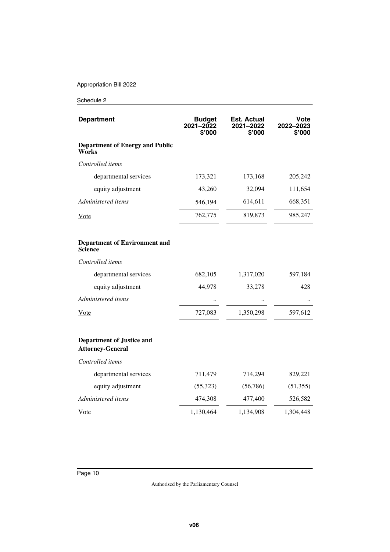| <b>Department</b>                                           | <b>Budget</b><br>2021-2022<br>\$'000 | Est. Actual<br>2021-2022<br>\$'000 | Vote<br>2022–2023<br>\$'000 |
|-------------------------------------------------------------|--------------------------------------|------------------------------------|-----------------------------|
| <b>Department of Energy and Public</b><br>Works             |                                      |                                    |                             |
| Controlled items                                            |                                      |                                    |                             |
| departmental services                                       | 173,321                              | 173,168                            | 205,242                     |
| equity adjustment                                           | 43,260                               | 32,094                             | 111,654                     |
| Administered items                                          | 546,194                              | 614,611                            | 668,351                     |
| Vote                                                        | 762,775                              | 819,873                            | 985,247                     |
| <b>Department of Environment and</b><br>Science             |                                      |                                    |                             |
| Controlled items                                            |                                      |                                    |                             |
| departmental services                                       | 682,105                              | 1,317,020                          | 597,184                     |
| equity adjustment                                           | 44,978                               | 33,278                             | 428                         |
| Administered items                                          |                                      |                                    |                             |
| Vote                                                        | 727,083                              | 1,350,298                          | 597,612                     |
| <b>Department of Justice and</b><br><b>Attorney-General</b> |                                      |                                    |                             |
| Controlled items                                            |                                      |                                    |                             |
| departmental services                                       | 711,479                              | 714,294                            | 829,221                     |
| equity adjustment                                           | (55,323)                             | (56, 786)                          | (51, 355)                   |
| Administered items                                          | 474,308                              | 477,400                            | 526,582                     |
| Vote                                                        | 1,130,464                            | 1,134,908                          | 1,304,448                   |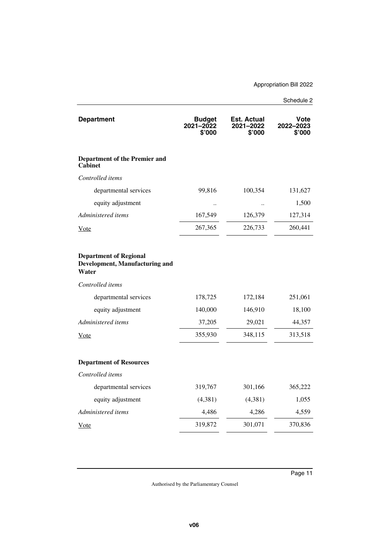| <b>Department</b>                                                        | <b>Budget</b><br>2021-2022<br>\$'000 | Est. Actual<br>2021-2022<br>\$'000 | Vote<br>2022-2023<br>\$'000 |
|--------------------------------------------------------------------------|--------------------------------------|------------------------------------|-----------------------------|
| <b>Department of the Premier and</b><br>Cabinet                          |                                      |                                    |                             |
| Controlled items                                                         |                                      |                                    |                             |
| departmental services                                                    | 99,816                               | 100,354                            | 131,627                     |
| equity adjustment                                                        |                                      |                                    | 1,500                       |
| Administered items                                                       | 167,549                              | 126,379                            | 127,314                     |
| Vote                                                                     | 267,365                              | 226,733                            | 260,441                     |
|                                                                          |                                      |                                    |                             |
| <b>Department of Regional</b><br>Development, Manufacturing and<br>Water |                                      |                                    |                             |
| Controlled items                                                         |                                      |                                    |                             |
| departmental services                                                    | 178,725                              | 172,184                            | 251,061                     |
| equity adjustment                                                        | 140,000                              | 146,910                            | 18,100                      |
| Administered items                                                       | 37,205                               | 29,021                             | 44,357                      |
| Vote                                                                     | 355,930                              | 348,115                            | 313,518                     |
| <b>Department of Resources</b>                                           |                                      |                                    |                             |
| Controlled items                                                         |                                      |                                    |                             |
| departmental services                                                    | 319,767                              | 301,166                            | 365,222                     |
| equity adjustment                                                        | (4,381)                              | (4,381)                            | 1,055                       |
| Administered items                                                       | 4,486                                | 4,286                              | 4,559                       |
| Vote                                                                     | 319,872                              | 301,071                            | 370,836                     |
|                                                                          |                                      |                                    |                             |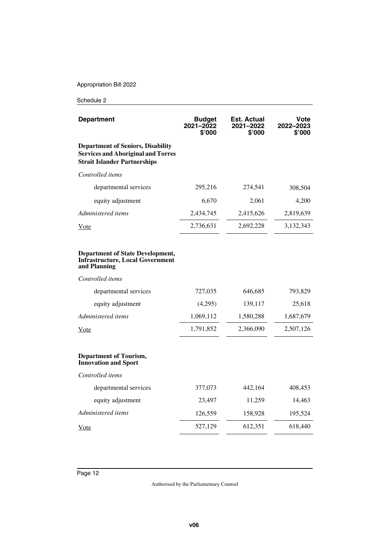| <b>Department</b>                                                                                                            | <b>Budget</b><br>2021-2022<br>\$'000 | Est. Actual<br>2021-2022<br>\$'000 | Vote<br>2022-2023<br>\$'000 |
|------------------------------------------------------------------------------------------------------------------------------|--------------------------------------|------------------------------------|-----------------------------|
| <b>Department of Seniors, Disability</b><br><b>Services and Aboriginal and Torres</b><br><b>Strait Islander Partnerships</b> |                                      |                                    |                             |
| Controlled items                                                                                                             |                                      |                                    |                             |
| departmental services                                                                                                        | 295,216                              | 274,541                            | 308,504                     |
| equity adjustment                                                                                                            | 6,670                                | 2,061                              | 4,200                       |
| Administered items                                                                                                           | 2,434,745                            | 2,415,626                          | 2,819,639                   |
| Vote                                                                                                                         | 2,736,631                            | 2,692,228                          | 3,132,343                   |
| <b>Department of State Development,</b><br><b>Infrastructure, Local Government</b><br>and Planning                           |                                      |                                    |                             |
| Controlled items                                                                                                             |                                      |                                    |                             |
| departmental services                                                                                                        | 727,035                              | 646,685                            | 793,829                     |
| equity adjustment                                                                                                            | (4,295)                              | 139,117                            | 25,618                      |
| Administered items                                                                                                           | 1,069,112                            | 1,580,288                          | 1,687,679                   |
| Vote                                                                                                                         | 1,791,852                            | 2,366,090                          | 2,507,126                   |
| <b>Department of Tourism,</b><br><b>Innovation and Sport</b>                                                                 |                                      |                                    |                             |
| Controlled items                                                                                                             |                                      |                                    |                             |
| departmental services                                                                                                        | 377,073                              | 442,164                            | 408,453                     |
| equity adjustment                                                                                                            | 23,497                               | 11,259                             | 14,463                      |
| Administered items                                                                                                           | 126,559                              | 158,928                            | 195,524                     |
| Vote                                                                                                                         | 527,129                              | 612,351                            | 618,440                     |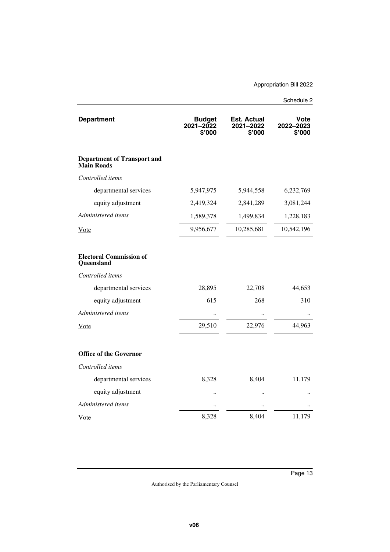| <b>Department</b>                                       | <b>Budget</b><br>$2021 - 2022$<br>\$'000 | <b>Est. Actual</b><br>2021-2022<br>\$'000 | Vote<br>2022-2023<br>\$'000 |
|---------------------------------------------------------|------------------------------------------|-------------------------------------------|-----------------------------|
| <b>Department of Transport and</b><br><b>Main Roads</b> |                                          |                                           |                             |
| Controlled items                                        |                                          |                                           |                             |
| departmental services                                   | 5,947,975                                | 5,944,558                                 | 6,232,769                   |
| equity adjustment                                       | 2,419,324                                | 2,841,289                                 | 3,081,244                   |
| Administered items                                      | 1,589,378                                | 1,499,834                                 | 1,228,183                   |
| Vote                                                    | 9,956,677                                | 10,285,681                                | 10,542,196                  |
| <b>Electoral Commission of</b><br>Queensland            |                                          |                                           |                             |
| Controlled items                                        |                                          |                                           |                             |
| departmental services                                   | 28,895                                   | 22,708                                    | 44,653                      |
| equity adjustment                                       | 615                                      | 268                                       | 310                         |
| Administered items                                      |                                          | $\ddot{\phantom{0}}$                      | $\ddot{\phantom{0}}$        |
| <b>V</b> ote                                            | 29,510                                   | 22,976                                    | 44,963                      |
| <b>Office of the Governor</b>                           |                                          |                                           |                             |
| Controlled items                                        |                                          |                                           |                             |
| departmental services                                   | 8,328                                    | 8,404                                     | 11,179                      |
| equity adjustment                                       |                                          | $\ddot{\phantom{a}}$                      |                             |
| Administered items                                      |                                          |                                           |                             |
| Vote                                                    | 8,328                                    | 8,404                                     | 11,179                      |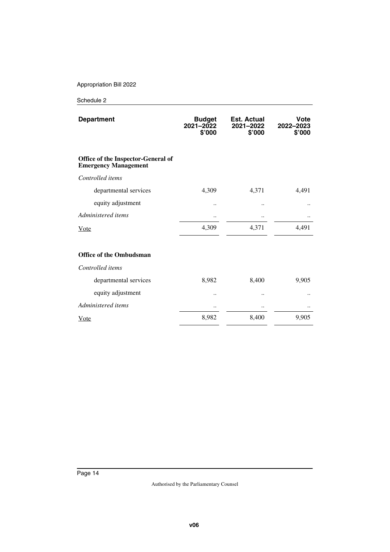| <b>Department</b>                                                 | <b>Budget</b><br>2021-2022<br>\$'000 | Est. Actual<br>2021-2022<br>\$'000 | Vote<br>2022-2023<br>\$'000 |
|-------------------------------------------------------------------|--------------------------------------|------------------------------------|-----------------------------|
| Office of the Inspector-General of<br><b>Emergency Management</b> |                                      |                                    |                             |
| Controlled items                                                  |                                      |                                    |                             |
| departmental services                                             | 4,309                                | 4,371                              | 4,491                       |
| equity adjustment                                                 |                                      |                                    |                             |
| Administered items                                                |                                      |                                    |                             |
| Vote                                                              | 4,309                                | 4,371                              | 4,491                       |
| <b>Office of the Ombudsman</b>                                    |                                      |                                    |                             |
| Controlled items                                                  |                                      |                                    |                             |
| departmental services                                             | 8,982                                | 8,400                              | 9,905                       |
| equity adjustment                                                 |                                      |                                    |                             |
| Administered items                                                |                                      |                                    |                             |
| Vote                                                              | 8,982                                | 8,400                              | 9,905                       |
|                                                                   |                                      |                                    |                             |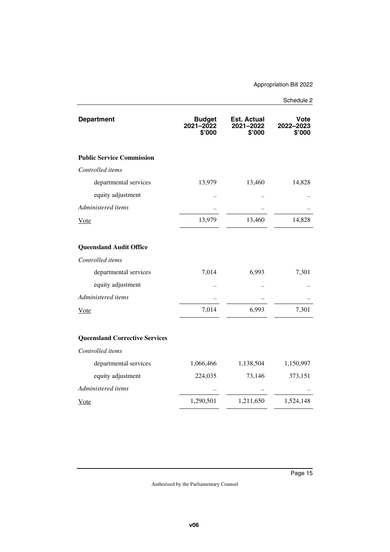| <b>Department</b>                     | <b>Budget</b><br>2021-2022<br>\$'000 | Est. Actual<br>2021-2022<br>S'000 | Vote<br>2022-2023<br>\$'000 |
|---------------------------------------|--------------------------------------|-----------------------------------|-----------------------------|
| <b>Public Service Commission</b>      |                                      |                                   |                             |
| Controlled items                      |                                      |                                   |                             |
| departmental services                 | 13,979                               | 13,460                            | 14,828                      |
| equity adjustment                     |                                      |                                   |                             |
| Administered items                    |                                      |                                   |                             |
| <u>Vote</u>                           | 13,979                               | 13,460                            | 14,828                      |
|                                       |                                      |                                   |                             |
| <b>Queensland Audit Office</b>        |                                      |                                   |                             |
| Controlled items                      |                                      |                                   |                             |
| departmental services                 | 7,014                                | 6,993                             | 7,301                       |
| equity adjustment                     |                                      |                                   |                             |
| Administered items                    |                                      |                                   |                             |
| Vote                                  | 7,014                                | 6,993                             | 7,301                       |
|                                       |                                      |                                   |                             |
| <b>Queensland Corrective Services</b> |                                      |                                   |                             |
| Controlled items                      |                                      |                                   |                             |
| departmental services                 | 1,066,466                            | 1,138,504                         | 1,150,997                   |
| equity adjustment                     | 224,035                              | 73,146                            | 373,151                     |
| Administered items                    |                                      |                                   |                             |
| Vote                                  | 1,290,501                            | 1,211,650                         | 1,524,148                   |
|                                       |                                      |                                   |                             |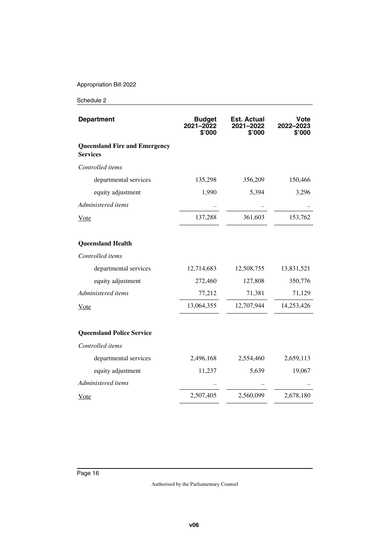| <b>Department</b>                                       | <b>Budget</b><br>2021-2022<br>\$'000 | <b>Est. Actual</b><br>2021-2022<br>\$'000 | Vote<br>2022-2023<br>\$'000 |
|---------------------------------------------------------|--------------------------------------|-------------------------------------------|-----------------------------|
| <b>Queensland Fire and Emergency</b><br><b>Services</b> |                                      |                                           |                             |
| Controlled items                                        |                                      |                                           |                             |
| departmental services                                   | 135,298                              | 356,209                                   | 150,466                     |
| equity adjustment                                       | 1,990                                | 5,394                                     | 3,296                       |
| Administered items                                      |                                      |                                           |                             |
| Vote                                                    | 137,288                              | 361,603                                   | 153,762                     |
| <b>Queensland Health</b>                                |                                      |                                           |                             |
| Controlled items                                        |                                      |                                           |                             |
| departmental services                                   | 12,714,683                           | 12,508,755                                | 13,831,521                  |
| equity adjustment                                       | 272,460                              | 127,808                                   | 350,776                     |
| Administered items                                      | 77,212                               | 71,381                                    | 71,129                      |
| <u>Vote</u>                                             | 13,064,355                           | 12,707,944                                | 14,253,426                  |
| <b>Queensland Police Service</b>                        |                                      |                                           |                             |
| Controlled items                                        |                                      |                                           |                             |
| departmental services                                   | 2,496,168                            | 2,554,460                                 | 2,659,113                   |
| equity adjustment                                       | 11,237                               | 5,639                                     | 19,067                      |
| Administered items                                      |                                      |                                           |                             |
| <u>Vote</u>                                             | 2,507,405                            | 2,560,099                                 | 2,678,180                   |